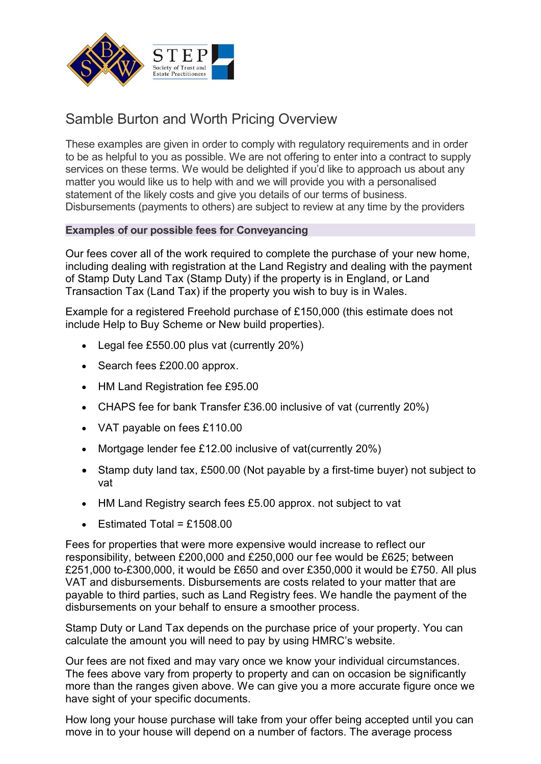

## Samble Burton and Worth Pricing Overview

These examples are given in order to comply with regulatory requirements and in order to be as helpful to you as possible. We are not offering to enter into a contract to supply services on these terms. We would be delighted if you'd like to approach us about any matter you would like us to help with and we will provide you with a personalised statement of the likely costs and give you details of our terms of business. Disbursements (payments to others) are subject to review at any time by the providers

#### **Examples of our possible fees for Conveyancing**

Our fees cover all of the work required to complete the purchase of your new home, including dealing with registration at the Land Registry and dealing with the payment of Stamp Duty Land Tax (Stamp Duty) if the property is in England, or Land Transaction Tax (Land Tax) if the property you wish to buy is in Wales.

Example for a registered Freehold purchase of £150,000 (this estimate does not include Help to Buy Scheme or New build properties).

- · Legal fee £550.00 plus vat (currently 20%)
- · Search fees £200.00 approx.
- · HM Land Registration fee £95.00
- CHAPS fee for bank Transfer £36.00 inclusive of vat (currently 20%)
- · VAT payable on fees £110.00
- · Mortgage lender fee £12.00 inclusive of vat(currently 20%)
- · Stamp duty land tax, £500.00 (Not payable by a first-time buyer) not subject to vat
- · HM Land Registry search fees £5.00 approx. not subject to vat
- Estimated Total = £1508.00

Fees for properties that were more expensive would increase to reflect our responsibility, between £200,000 and £250,000 our fee would be £625; between £251,000 to-£300,000, it would be £650 and over £350,000 it would be £750. All plus VAT and disbursements. Disbursements are costs related to your matter that are payable to third parties, such as Land Registry fees. We handle the payment of the disbursements on your behalf to ensure a smoother process.

Stamp Duty or Land Tax depends on the purchase price of your property. You can calculate the amount you will need to pay by using HMRC's website.

Our fees are not fixed and may vary once we know your individual circumstances. The fees above vary from property to property and can on occasion be significantly more than the ranges given above. We can give you a more accurate figure once we have sight of your specific documents.

How long your house purchase will take from your offer being accepted until you can move in to your house will depend on a number of factors. The average process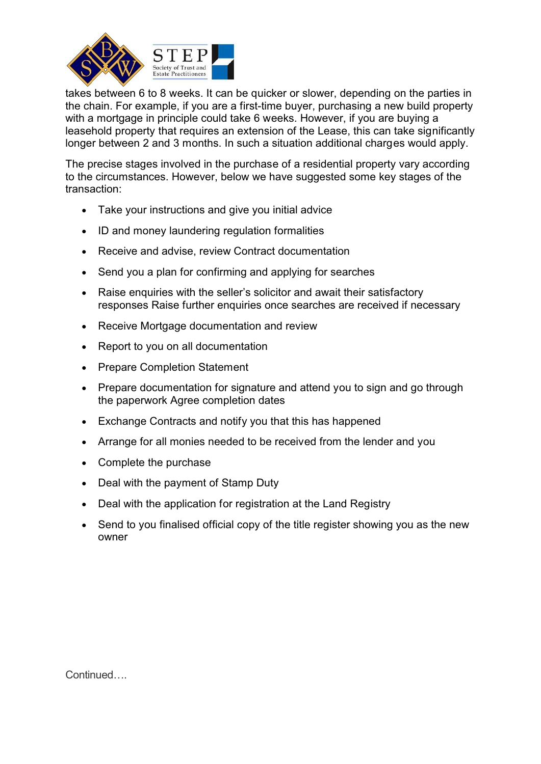

takes between 6 to 8 weeks. It can be quicker or slower, depending on the parties in the chain. For example, if you are a first-time buyer, purchasing a new build property with a mortgage in principle could take 6 weeks. However, if you are buying a leasehold property that requires an extension of the Lease, this can take significantly longer between 2 and 3 months. In such a situation additional charges would apply.

The precise stages involved in the purchase of a residential property vary according to the circumstances. However, below we have suggested some key stages of the transaction:

- · Take your instructions and give you initial advice
- · ID and money laundering regulation formalities
- · Receive and advise, review Contract documentation
- · Send you a plan for confirming and applying for searches
- · Raise enquiries with the seller's solicitor and await their satisfactory responses Raise further enquiries once searches are received if necessary
- · Receive Mortgage documentation and review
- · Report to you on all documentation
- · Prepare Completion Statement
- · Prepare documentation for signature and attend you to sign and go through the paperwork Agree completion dates
- · Exchange Contracts and notify you that this has happened
- · Arrange for all monies needed to be received from the lender and you
- · Complete the purchase
- · Deal with the payment of Stamp Duty
- · Deal with the application for registration at the Land Registry
- · Send to you finalised official copy of the title register showing you as the new owner

Continued….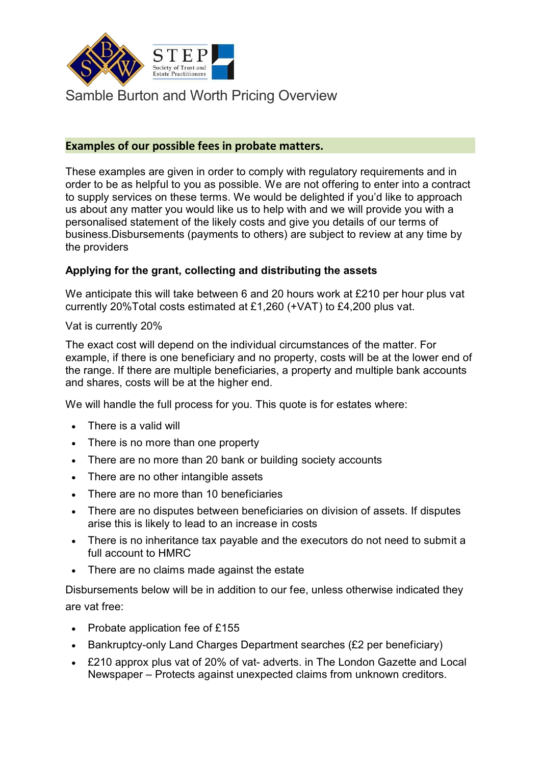

Samble Burton and Worth Pricing Overview

## **Examples of our possible fees in probate matters.**

These examples are given in order to comply with regulatory requirements and in order to be as helpful to you as possible. We are not offering to enter into a contract to supply services on these terms. We would be delighted if you'd like to approach us about any matter you would like us to help with and we will provide you with a personalised statement of the likely costs and give you details of our terms of business.Disbursements (payments to others) are subject to review at any time by the providers

## **Applying for the grant, collecting and distributing the assets**

We anticipate this will take between 6 and 20 hours work at £210 per hour plus vat currently 20%Total costs estimated at £1,260 (+VAT) to £4,200 plus vat.

Vat is currently 20%

The exact cost will depend on the individual circumstances of the matter. For example, if there is one beneficiary and no property, costs will be at the lower end of the range. If there are multiple beneficiaries, a property and multiple bank accounts and shares, costs will be at the higher end.

We will handle the full process for you. This quote is for estates where:

- There is a valid will
- · There is no more than one property
- There are no more than 20 bank or building society accounts
- There are no other intangible assets
- There are no more than 10 beneficiaries
- · There are no disputes between beneficiaries on division of assets. If disputes arise this is likely to lead to an increase in costs
- There is no inheritance tax payable and the executors do not need to submit a full account to HMRC
- There are no claims made against the estate

Disbursements below will be in addition to our fee, unless otherwise indicated they are vat free:

- Probate application fee of £155
- Bankruptcy-only Land Charges Department searches (£2 per beneficiary)
- · £210 approx plus vat of 20% of vat- adverts. in The London Gazette and Local Newspaper – Protects against unexpected claims from unknown creditors.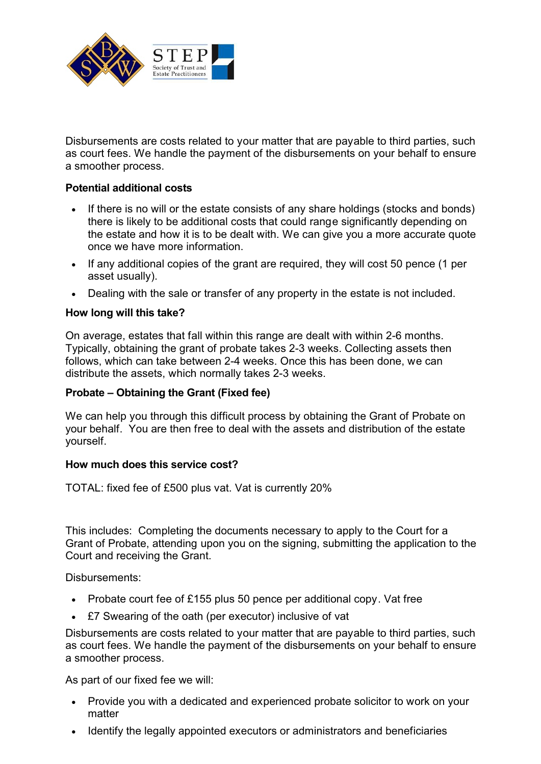

Disbursements are costs related to your matter that are payable to third parties, such as court fees. We handle the payment of the disbursements on your behalf to ensure a smoother process.

### **Potential additional costs**

- · If there is no will or the estate consists of any share holdings (stocks and bonds) there is likely to be additional costs that could range significantly depending on the estate and how it is to be dealt with. We can give you a more accurate quote once we have more information.
- · If any additional copies of the grant are required, they will cost 50 pence (1 per asset usually).
- · Dealing with the sale or transfer of any property in the estate is not included.

#### **How long will this take?**

On average, estates that fall within this range are dealt with within 2-6 months. Typically, obtaining the grant of probate takes 2-3 weeks. Collecting assets then follows, which can take between 2-4 weeks. Once this has been done, we can distribute the assets, which normally takes 2-3 weeks.

#### **Probate – Obtaining the Grant (Fixed fee)**

We can help you through this difficult process by obtaining the Grant of Probate on your behalf. You are then free to deal with the assets and distribution of the estate yourself.

#### **How much does this service cost?**

TOTAL: fixed fee of £500 plus vat. Vat is currently 20%

This includes: Completing the documents necessary to apply to the Court for a Grant of Probate, attending upon you on the signing, submitting the application to the Court and receiving the Grant.

Disbursements:

- Probate court fee of £155 plus 50 pence per additional copy. Vat free
- · £7 Swearing of the oath (per executor) inclusive of vat

Disbursements are costs related to your matter that are payable to third parties, such as court fees. We handle the payment of the disbursements on your behalf to ensure a smoother process.

As part of our fixed fee we will:

- · Provide you with a dedicated and experienced probate solicitor to work on your matter
- · Identify the legally appointed executors or administrators and beneficiaries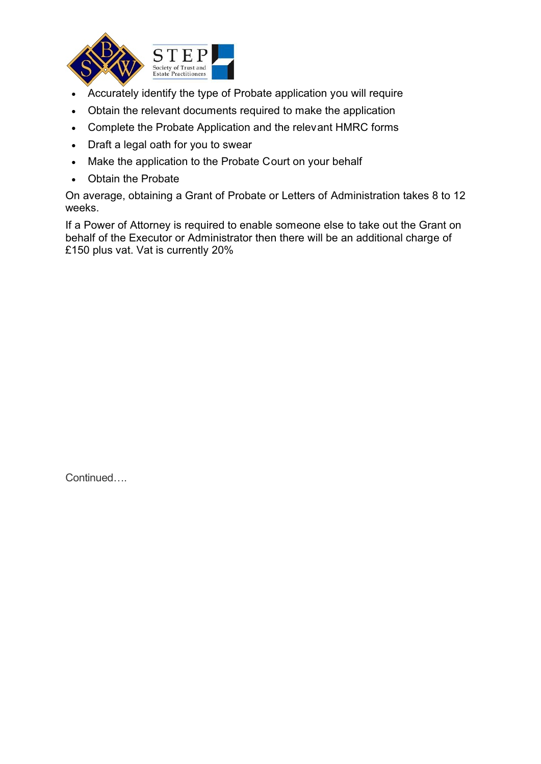

- Accurately identify the type of Probate application you will require
- Obtain the relevant documents required to make the application
- · Complete the Probate Application and the relevant HMRC forms
- · Draft a legal oath for you to swear
- · Make the application to the Probate Court on your behalf
- · Obtain the Probate

On average, obtaining a Grant of Probate or Letters of Administration takes 8 to 12 weeks.

If a Power of Attorney is required to enable someone else to take out the Grant on behalf of the Executor or Administrator then there will be an additional charge of £150 plus vat. Vat is currently 20%

Continued….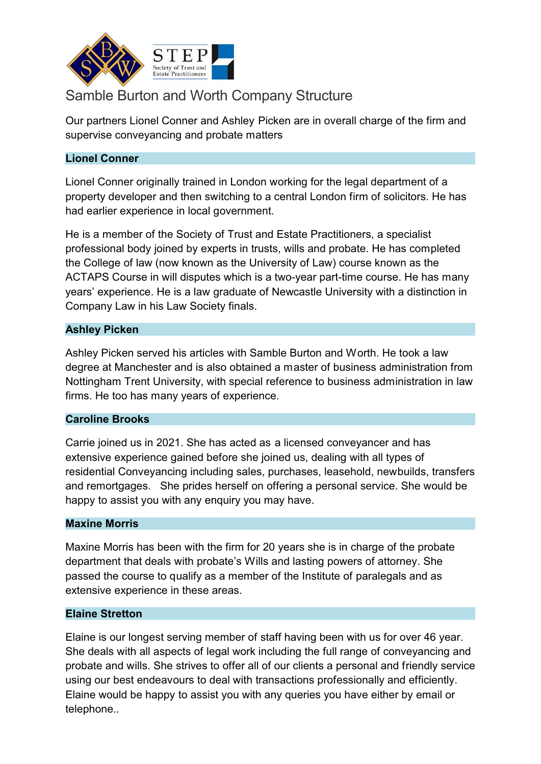

# Samble Burton and Worth Company Structure

Our partners Lionel Conner and Ashley Picken are in overall charge of the firm and supervise conveyancing and probate matters

## **Lionel Conner**

Lionel Conner originally trained in London working for the legal department of a property developer and then switching to a central London firm of solicitors. He has had earlier experience in local government.

He is a member of the Society of Trust and Estate Practitioners, a specialist professional body joined by experts in trusts, wills and probate. He has completed the College of law (now known as the University of Law) course known as the ACTAPS Course in will disputes which is a two-year part-time course. He has many years' experience. He is a law graduate of Newcastle University with a distinction in Company Law in his Law Society finals.

### **Ashley Picken**

Ashley Picken served his articles with Samble Burton and Worth. He took a law degree at Manchester and is also obtained a master of business administration from Nottingham Trent University, with special reference to business administration in law firms. He too has many years of experience.

#### **Caroline Brooks**

Carrie joined us in 2021. She has acted as a licensed conveyancer and has extensive experience gained before she joined us, dealing with all types of residential Conveyancing including sales, purchases, leasehold, newbuilds, transfers and remortgages. She prides herself on offering a personal service. She would be happy to assist you with any enquiry you may have.

#### **Maxine Morris**

Maxine Morris has been with the firm for 20 years she is in charge of the probate department that deals with probate's Wills and lasting powers of attorney. She passed the course to qualify as a member of the Institute of paralegals and as extensive experience in these areas.

#### **Elaine Stretton**

Elaine is our longest serving member of staff having been with us for over 46 year. She deals with all aspects of legal work including the full range of conveyancing and probate and wills. She strives to offer all of our clients a personal and friendly service using our best endeavours to deal with transactions professionally and efficiently. Elaine would be happy to assist you with any queries you have either by email or telephone..